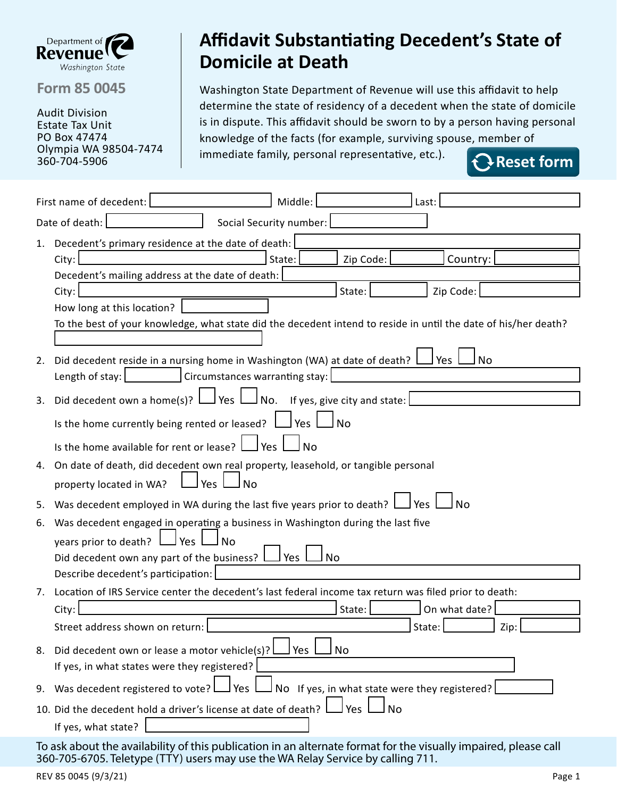

**Form 85 0045**

Audit Division Estate Tax Unit PO Box 47474 Olympia WA 98504-7474 360-704-5906

## **Affidavit Substantiating Decedent's State of Domicile at Death**

Washington State Department of Revenue will use this affidavit to help determine the state of residency of a decedent when the state of domicile is in dispute. This affidavit should be sworn to by a person having personal knowledge of the facts (for example, surviving spouse, member of immediate family, personal representative, etc.).

**Reset form**

|                                                                                                                                               | Middle:<br>First name of decedent:<br>Last:                                                            |  |  |  |
|-----------------------------------------------------------------------------------------------------------------------------------------------|--------------------------------------------------------------------------------------------------------|--|--|--|
| Date of death:<br>Social Security number:                                                                                                     |                                                                                                        |  |  |  |
| 1.                                                                                                                                            | Decedent's primary residence at the date of death:                                                     |  |  |  |
|                                                                                                                                               | State:<br>City:<br>Zip Code:<br>Country:                                                               |  |  |  |
|                                                                                                                                               | Decedent's mailing address at the date of death:                                                       |  |  |  |
|                                                                                                                                               | Zip Code:<br>City:<br>State:                                                                           |  |  |  |
| How long at this location?<br>To the best of your knowledge, what state did the decedent intend to reside in until the date of his/her death? |                                                                                                        |  |  |  |
|                                                                                                                                               |                                                                                                        |  |  |  |
| Did decedent reside in a nursing home in Washington (WA) at date of death?<br>l Yes<br>No<br>2.                                               |                                                                                                        |  |  |  |
|                                                                                                                                               | Circumstances warranting stay:<br>Length of stay:                                                      |  |  |  |
| l Yes I<br>Did decedent own a home(s)? $\vert$<br>J No.<br>If yes, give city and state:<br>3.                                                 |                                                                                                        |  |  |  |
|                                                                                                                                               | Is the home currently being rented or leased?<br>Yes<br><b>No</b>                                      |  |  |  |
|                                                                                                                                               | Is the home available for rent or lease?<br>Yes<br><b>No</b>                                           |  |  |  |
| On date of death, did decedent own real property, leasehold, or tangible personal<br>4.                                                       |                                                                                                        |  |  |  |
|                                                                                                                                               | property located in WA?<br>Yes<br>No                                                                   |  |  |  |
| 5.                                                                                                                                            | Was decedent employed in WA during the last five years prior to death?<br>J Yes                        |  |  |  |
| 6.                                                                                                                                            | Was decedent engaged in operating a business in Washington during the last five                        |  |  |  |
| l Yes<br>years prior to death?<br>N <sub>0</sub>                                                                                              |                                                                                                        |  |  |  |
|                                                                                                                                               | Did decedent own any part of the business?  <br><b>No</b><br>Yes                                       |  |  |  |
|                                                                                                                                               | Describe decedent's participation:                                                                     |  |  |  |
| 7.                                                                                                                                            | Location of IRS Service center the decedent's last federal income tax return was filed prior to death: |  |  |  |
|                                                                                                                                               | On what date?<br>City:<br>State:                                                                       |  |  |  |
|                                                                                                                                               | Street address shown on return:<br>State:<br>Zip:                                                      |  |  |  |
| 8.                                                                                                                                            | J Yes<br><b>No</b><br>Did decedent own or lease a motor vehicle(s)?                                    |  |  |  |
|                                                                                                                                               | If yes, in what states were they registered?                                                           |  |  |  |
| 9.                                                                                                                                            | Was decedent registered to vote?<br>No If yes, in what state were they registered?<br>Yes.             |  |  |  |
|                                                                                                                                               | 10. Did the decedent hold a driver's license at date of death?<br><b>No</b><br>Yes                     |  |  |  |
|                                                                                                                                               | If yes, what state?                                                                                    |  |  |  |
|                                                                                                                                               |                                                                                                        |  |  |  |

To ask about the availability of this publication in an alternate format for the visually impaired, please call 360-705-6705. Teletype (TTY) users may use the WA Relay Service by calling 711.